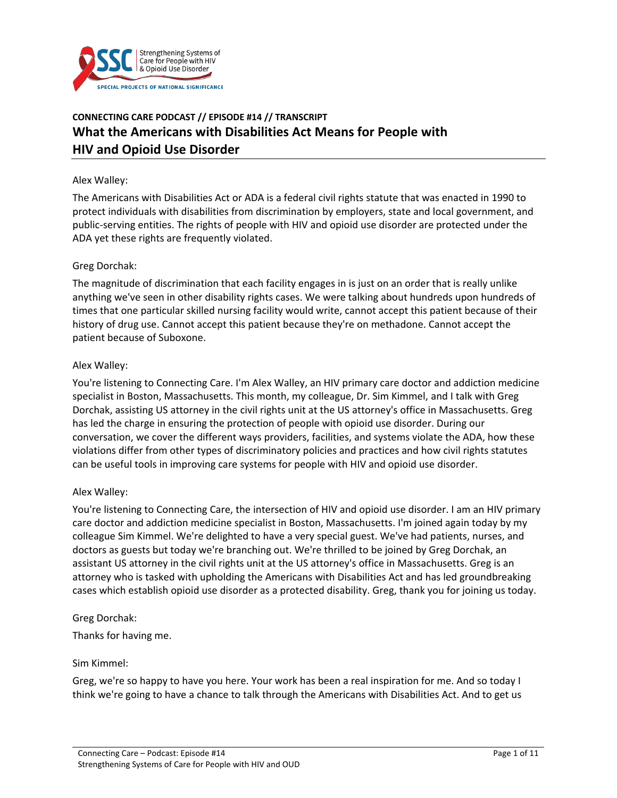

# **CONNECTING CARE PODCAST // EPISODE #14 // TRANSCRIPT What the Americans with Disabilities Act Means for People with HIV and Opioid Use Disorder**

#### Alex Walley:

The Americans with Disabilities Act or ADA is a federal civil rights statute that was enacted in 1990 to protect individuals with disabilities from discrimination by employers, state and local government, and public-serving entities. The rights of people with HIV and opioid use disorder are protected under the ADA yet these rights are frequently violated.

#### Greg Dorchak:

The magnitude of discrimination that each facility engages in is just on an order that is really unlike anything we've seen in other disability rights cases. We were talking about hundreds upon hundreds of times that one particular skilled nursing facility would write, cannot accept this patient because of their history of drug use. Cannot accept this patient because they're on methadone. Cannot accept the patient because of Suboxone.

#### Alex Walley:

You're listening to Connecting Care. I'm Alex Walley, an HIV primary care doctor and addiction medicine specialist in Boston, Massachusetts. This month, my colleague, Dr. Sim Kimmel, and I talk with Greg Dorchak, assisting US attorney in the civil rights unit at the US attorney's office in Massachusetts. Greg has led the charge in ensuring the protection of people with opioid use disorder. During our conversation, we cover the different ways providers, facilities, and systems violate the ADA, how these violations differ from other types of discriminatory policies and practices and how civil rights statutes can be useful tools in improving care systems for people with HIV and opioid use disorder.

### Alex Walley:

You're listening to Connecting Care, the intersection of HIV and opioid use disorder. I am an HIV primary care doctor and addiction medicine specialist in Boston, Massachusetts. I'm joined again today by my colleague Sim Kimmel. We're delighted to have a very special guest. We've had patients, nurses, and doctors as guests but today we're branching out. We're thrilled to be joined by Greg Dorchak, an assistant US attorney in the civil rights unit at the US attorney's office in Massachusetts. Greg is an attorney who is tasked with upholding the Americans with Disabilities Act and has led groundbreaking cases which establish opioid use disorder as a protected disability. Greg, thank you for joining us today.

### Greg Dorchak:

Thanks for having me.

#### Sim Kimmel:

Greg, we're so happy to have you here. Your work has been a real inspiration for me. And so today I think we're going to have a chance to talk through the Americans with Disabilities Act. And to get us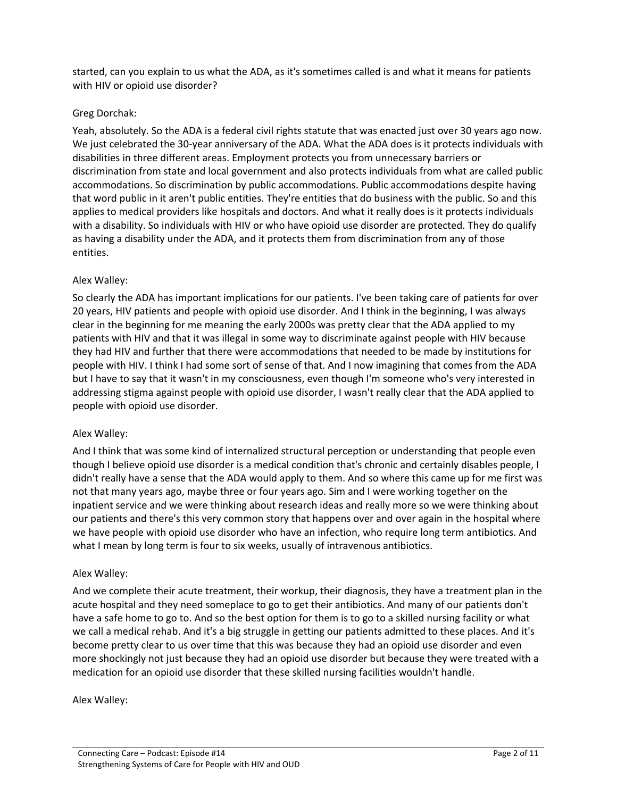started, can you explain to us what the ADA, as it's sometimes called is and what it means for patients with HIV or opioid use disorder?

### Greg Dorchak:

Yeah, absolutely. So the ADA is a federal civil rights statute that was enacted just over 30 years ago now. We just celebrated the 30-year anniversary of the ADA. What the ADA does is it protects individuals with disabilities in three different areas. Employment protects you from unnecessary barriers or discrimination from state and local government and also protects individuals from what are called public accommodations. So discrimination by public accommodations. Public accommodations despite having that word public in it aren't public entities. They're entities that do business with the public. So and this applies to medical providers like hospitals and doctors. And what it really does is it protects individuals with a disability. So individuals with HIV or who have opioid use disorder are protected. They do qualify as having a disability under the ADA, and it protects them from discrimination from any of those entities.

### Alex Walley:

So clearly the ADA has important implications for our patients. I've been taking care of patients for over 20 years, HIV patients and people with opioid use disorder. And I think in the beginning, I was always clear in the beginning for me meaning the early 2000s was pretty clear that the ADA applied to my patients with HIV and that it was illegal in some way to discriminate against people with HIV because they had HIV and further that there were accommodations that needed to be made by institutions for people with HIV. I think I had some sort of sense of that. And I now imagining that comes from the ADA but I have to say that it wasn't in my consciousness, even though I'm someone who's very interested in addressing stigma against people with opioid use disorder, I wasn't really clear that the ADA applied to people with opioid use disorder.

### Alex Walley:

And I think that was some kind of internalized structural perception or understanding that people even though I believe opioid use disorder is a medical condition that's chronic and certainly disables people, I didn't really have a sense that the ADA would apply to them. And so where this came up for me first was not that many years ago, maybe three or four years ago. Sim and I were working together on the inpatient service and we were thinking about research ideas and really more so we were thinking about our patients and there's this very common story that happens over and over again in the hospital where we have people with opioid use disorder who have an infection, who require long term antibiotics. And what I mean by long term is four to six weeks, usually of intravenous antibiotics.

### Alex Walley:

And we complete their acute treatment, their workup, their diagnosis, they have a treatment plan in the acute hospital and they need someplace to go to get their antibiotics. And many of our patients don't have a safe home to go to. And so the best option for them is to go to a skilled nursing facility or what we call a medical rehab. And it's a big struggle in getting our patients admitted to these places. And it's become pretty clear to us over time that this was because they had an opioid use disorder and even more shockingly not just because they had an opioid use disorder but because they were treated with a medication for an opioid use disorder that these skilled nursing facilities wouldn't handle.

Alex Walley: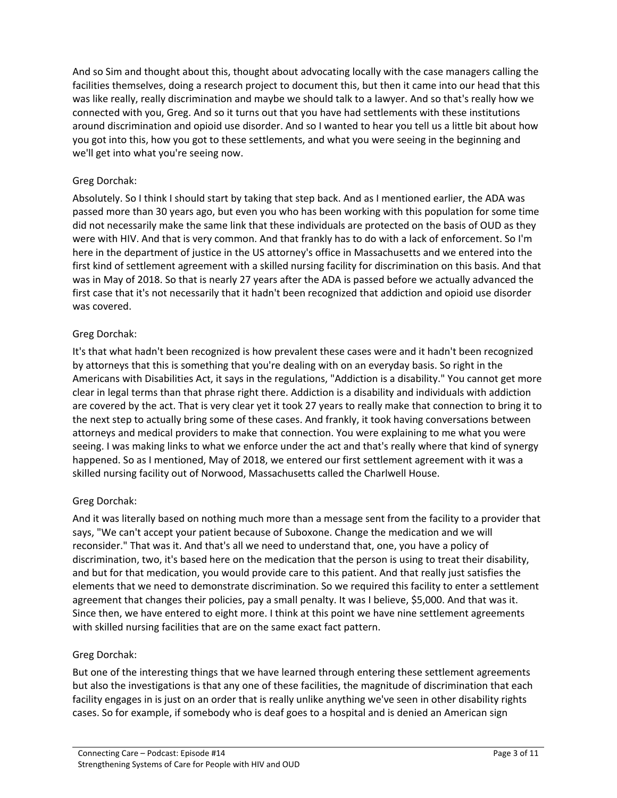And so Sim and thought about this, thought about advocating locally with the case managers calling the facilities themselves, doing a research project to document this, but then it came into our head that this was like really, really discrimination and maybe we should talk to a lawyer. And so that's really how we connected with you, Greg. And so it turns out that you have had settlements with these institutions around discrimination and opioid use disorder. And so I wanted to hear you tell us a little bit about how you got into this, how you got to these settlements, and what you were seeing in the beginning and we'll get into what you're seeing now.

# Greg Dorchak:

Absolutely. So I think I should start by taking that step back. And as I mentioned earlier, the ADA was passed more than 30 years ago, but even you who has been working with this population for some time did not necessarily make the same link that these individuals are protected on the basis of OUD as they were with HIV. And that is very common. And that frankly has to do with a lack of enforcement. So I'm here in the department of justice in the US attorney's office in Massachusetts and we entered into the first kind of settlement agreement with a skilled nursing facility for discrimination on this basis. And that was in May of 2018. So that is nearly 27 years after the ADA is passed before we actually advanced the first case that it's not necessarily that it hadn't been recognized that addiction and opioid use disorder was covered.

# Greg Dorchak:

It's that what hadn't been recognized is how prevalent these cases were and it hadn't been recognized by attorneys that this is something that you're dealing with on an everyday basis. So right in the Americans with Disabilities Act, it says in the regulations, "Addiction is a disability." You cannot get more clear in legal terms than that phrase right there. Addiction is a disability and individuals with addiction are covered by the act. That is very clear yet it took 27 years to really make that connection to bring it to the next step to actually bring some of these cases. And frankly, it took having conversations between attorneys and medical providers to make that connection. You were explaining to me what you were seeing. I was making links to what we enforce under the act and that's really where that kind of synergy happened. So as I mentioned, May of 2018, we entered our first settlement agreement with it was a skilled nursing facility out of Norwood, Massachusetts called the Charlwell House.

# Greg Dorchak:

And it was literally based on nothing much more than a message sent from the facility to a provider that says, "We can't accept your patient because of Suboxone. Change the medication and we will reconsider." That was it. And that's all we need to understand that, one, you have a policy of discrimination, two, it's based here on the medication that the person is using to treat their disability, and but for that medication, you would provide care to this patient. And that really just satisfies the elements that we need to demonstrate discrimination. So we required this facility to enter a settlement agreement that changes their policies, pay a small penalty. It was I believe, \$5,000. And that was it. Since then, we have entered to eight more. I think at this point we have nine settlement agreements with skilled nursing facilities that are on the same exact fact pattern.

# Greg Dorchak:

But one of the interesting things that we have learned through entering these settlement agreements but also the investigations is that any one of these facilities, the magnitude of discrimination that each facility engages in is just on an order that is really unlike anything we've seen in other disability rights cases. So for example, if somebody who is deaf goes to a hospital and is denied an American sign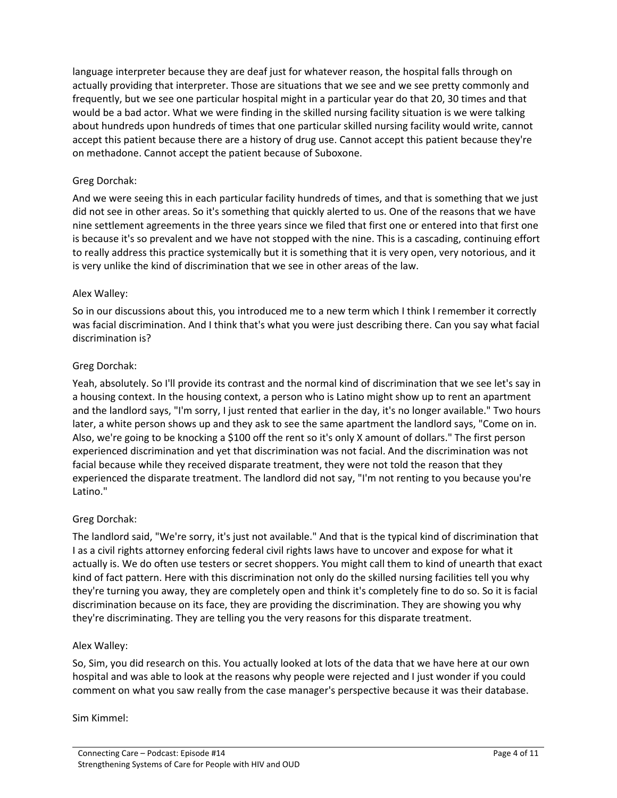language interpreter because they are deaf just for whatever reason, the hospital falls through on actually providing that interpreter. Those are situations that we see and we see pretty commonly and frequently, but we see one particular hospital might in a particular year do that 20, 30 times and that would be a bad actor. What we were finding in the skilled nursing facility situation is we were talking about hundreds upon hundreds of times that one particular skilled nursing facility would write, cannot accept this patient because there are a history of drug use. Cannot accept this patient because they're on methadone. Cannot accept the patient because of Suboxone.

# Greg Dorchak:

And we were seeing this in each particular facility hundreds of times, and that is something that we just did not see in other areas. So it's something that quickly alerted to us. One of the reasons that we have nine settlement agreements in the three years since we filed that first one or entered into that first one is because it's so prevalent and we have not stopped with the nine. This is a cascading, continuing effort to really address this practice systemically but it is something that it is very open, very notorious, and it is very unlike the kind of discrimination that we see in other areas of the law.

### Alex Walley:

So in our discussions about this, you introduced me to a new term which I think I remember it correctly was facial discrimination. And I think that's what you were just describing there. Can you say what facial discrimination is?

### Greg Dorchak:

Yeah, absolutely. So I'll provide its contrast and the normal kind of discrimination that we see let's say in a housing context. In the housing context, a person who is Latino might show up to rent an apartment and the landlord says, "I'm sorry, I just rented that earlier in the day, it's no longer available." Two hours later, a white person shows up and they ask to see the same apartment the landlord says, "Come on in. Also, we're going to be knocking a \$100 off the rent so it's only X amount of dollars." The first person experienced discrimination and yet that discrimination was not facial. And the discrimination was not facial because while they received disparate treatment, they were not told the reason that they experienced the disparate treatment. The landlord did not say, "I'm not renting to you because you're Latino."

### Greg Dorchak:

The landlord said, "We're sorry, it's just not available." And that is the typical kind of discrimination that I as a civil rights attorney enforcing federal civil rights laws have to uncover and expose for what it actually is. We do often use testers or secret shoppers. You might call them to kind of unearth that exact kind of fact pattern. Here with this discrimination not only do the skilled nursing facilities tell you why they're turning you away, they are completely open and think it's completely fine to do so. So it is facial discrimination because on its face, they are providing the discrimination. They are showing you why they're discriminating. They are telling you the very reasons for this disparate treatment.

### Alex Walley:

So, Sim, you did research on this. You actually looked at lots of the data that we have here at our own hospital and was able to look at the reasons why people were rejected and I just wonder if you could comment on what you saw really from the case manager's perspective because it was their database.

### Sim Kimmel: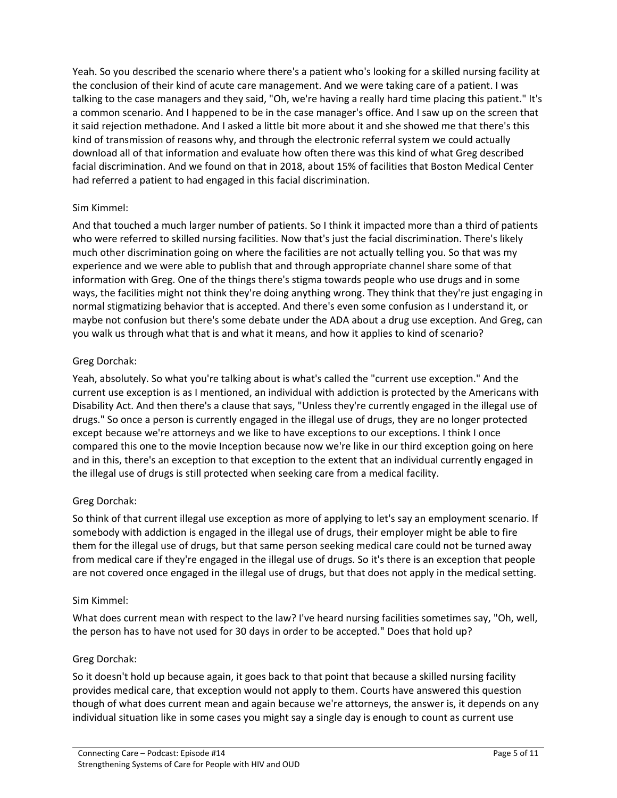Yeah. So you described the scenario where there's a patient who's looking for a skilled nursing facility at the conclusion of their kind of acute care management. And we were taking care of a patient. I was talking to the case managers and they said, "Oh, we're having a really hard time placing this patient." It's a common scenario. And I happened to be in the case manager's office. And I saw up on the screen that it said rejection methadone. And I asked a little bit more about it and she showed me that there's this kind of transmission of reasons why, and through the electronic referral system we could actually download all of that information and evaluate how often there was this kind of what Greg described facial discrimination. And we found on that in 2018, about 15% of facilities that Boston Medical Center had referred a patient to had engaged in this facial discrimination.

# Sim Kimmel:

And that touched a much larger number of patients. So I think it impacted more than a third of patients who were referred to skilled nursing facilities. Now that's just the facial discrimination. There's likely much other discrimination going on where the facilities are not actually telling you. So that was my experience and we were able to publish that and through appropriate channel share some of that information with Greg. One of the things there's stigma towards people who use drugs and in some ways, the facilities might not think they're doing anything wrong. They think that they're just engaging in normal stigmatizing behavior that is accepted. And there's even some confusion as I understand it, or maybe not confusion but there's some debate under the ADA about a drug use exception. And Greg, can you walk us through what that is and what it means, and how it applies to kind of scenario?

# Greg Dorchak:

Yeah, absolutely. So what you're talking about is what's called the "current use exception." And the current use exception is as I mentioned, an individual with addiction is protected by the Americans with Disability Act. And then there's a clause that says, "Unless they're currently engaged in the illegal use of drugs." So once a person is currently engaged in the illegal use of drugs, they are no longer protected except because we're attorneys and we like to have exceptions to our exceptions. I think I once compared this one to the movie Inception because now we're like in our third exception going on here and in this, there's an exception to that exception to the extent that an individual currently engaged in the illegal use of drugs is still protected when seeking care from a medical facility.

# Greg Dorchak:

So think of that current illegal use exception as more of applying to let's say an employment scenario. If somebody with addiction is engaged in the illegal use of drugs, their employer might be able to fire them for the illegal use of drugs, but that same person seeking medical care could not be turned away from medical care if they're engaged in the illegal use of drugs. So it's there is an exception that people are not covered once engaged in the illegal use of drugs, but that does not apply in the medical setting.

# Sim Kimmel:

What does current mean with respect to the law? I've heard nursing facilities sometimes say, "Oh, well, the person has to have not used for 30 days in order to be accepted." Does that hold up?

# Greg Dorchak:

So it doesn't hold up because again, it goes back to that point that because a skilled nursing facility provides medical care, that exception would not apply to them. Courts have answered this question though of what does current mean and again because we're attorneys, the answer is, it depends on any individual situation like in some cases you might say a single day is enough to count as current use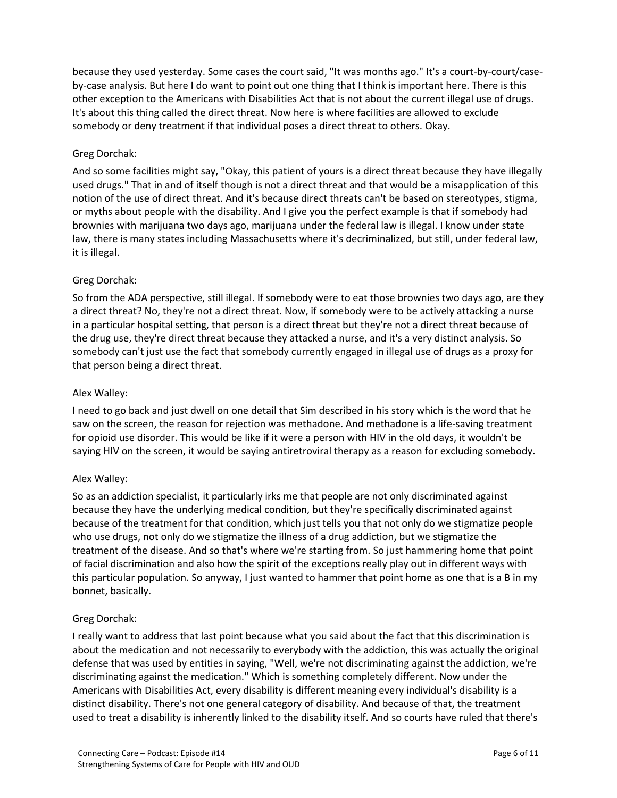because they used yesterday. Some cases the court said, "It was months ago." It's a court-by-court/caseby-case analysis. But here I do want to point out one thing that I think is important here. There is this other exception to the Americans with Disabilities Act that is not about the current illegal use of drugs. It's about this thing called the direct threat. Now here is where facilities are allowed to exclude somebody or deny treatment if that individual poses a direct threat to others. Okay.

# Greg Dorchak:

And so some facilities might say, "Okay, this patient of yours is a direct threat because they have illegally used drugs." That in and of itself though is not a direct threat and that would be a misapplication of this notion of the use of direct threat. And it's because direct threats can't be based on stereotypes, stigma, or myths about people with the disability. And I give you the perfect example is that if somebody had brownies with marijuana two days ago, marijuana under the federal law is illegal. I know under state law, there is many states including Massachusetts where it's decriminalized, but still, under federal law, it is illegal.

# Greg Dorchak:

So from the ADA perspective, still illegal. If somebody were to eat those brownies two days ago, are they a direct threat? No, they're not a direct threat. Now, if somebody were to be actively attacking a nurse in a particular hospital setting, that person is a direct threat but they're not a direct threat because of the drug use, they're direct threat because they attacked a nurse, and it's a very distinct analysis. So somebody can't just use the fact that somebody currently engaged in illegal use of drugs as a proxy for that person being a direct threat.

# Alex Walley:

I need to go back and just dwell on one detail that Sim described in his story which is the word that he saw on the screen, the reason for rejection was methadone. And methadone is a life-saving treatment for opioid use disorder. This would be like if it were a person with HIV in the old days, it wouldn't be saying HIV on the screen, it would be saying antiretroviral therapy as a reason for excluding somebody.

# Alex Walley:

So as an addiction specialist, it particularly irks me that people are not only discriminated against because they have the underlying medical condition, but they're specifically discriminated against because of the treatment for that condition, which just tells you that not only do we stigmatize people who use drugs, not only do we stigmatize the illness of a drug addiction, but we stigmatize the treatment of the disease. And so that's where we're starting from. So just hammering home that point of facial discrimination and also how the spirit of the exceptions really play out in different ways with this particular population. So anyway, I just wanted to hammer that point home as one that is a B in my bonnet, basically.

# Greg Dorchak:

I really want to address that last point because what you said about the fact that this discrimination is about the medication and not necessarily to everybody with the addiction, this was actually the original defense that was used by entities in saying, "Well, we're not discriminating against the addiction, we're discriminating against the medication." Which is something completely different. Now under the Americans with Disabilities Act, every disability is different meaning every individual's disability is a distinct disability. There's not one general category of disability. And because of that, the treatment used to treat a disability is inherently linked to the disability itself. And so courts have ruled that there's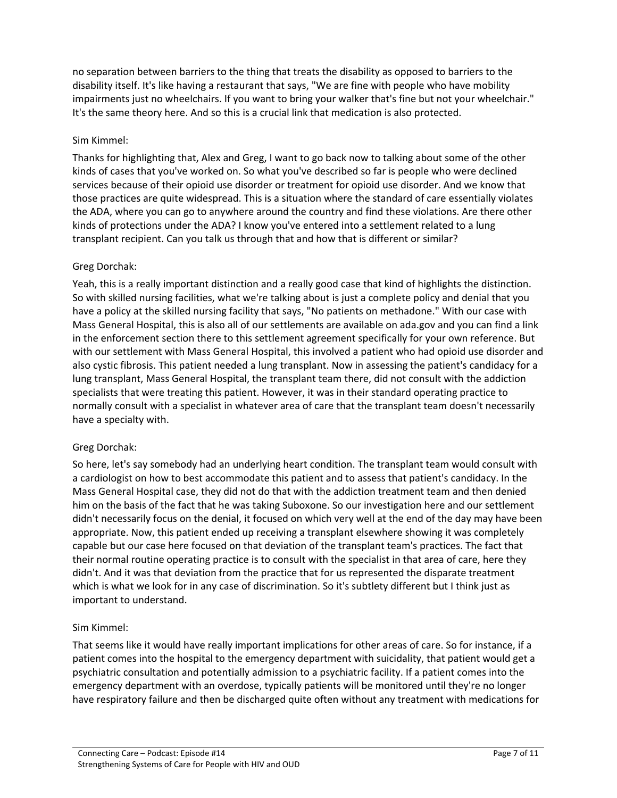no separation between barriers to the thing that treats the disability as opposed to barriers to the disability itself. It's like having a restaurant that says, "We are fine with people who have mobility impairments just no wheelchairs. If you want to bring your walker that's fine but not your wheelchair." It's the same theory here. And so this is a crucial link that medication is also protected.

### Sim Kimmel:

Thanks for highlighting that, Alex and Greg, I want to go back now to talking about some of the other kinds of cases that you've worked on. So what you've described so far is people who were declined services because of their opioid use disorder or treatment for opioid use disorder. And we know that those practices are quite widespread. This is a situation where the standard of care essentially violates the ADA, where you can go to anywhere around the country and find these violations. Are there other kinds of protections under the ADA? I know you've entered into a settlement related to a lung transplant recipient. Can you talk us through that and how that is different or similar?

### Greg Dorchak:

Yeah, this is a really important distinction and a really good case that kind of highlights the distinction. So with skilled nursing facilities, what we're talking about is just a complete policy and denial that you have a policy at the skilled nursing facility that says, "No patients on methadone." With our case with Mass General Hospital, this is also all of our settlements are available on ada.gov and you can find a link in the enforcement section there to this settlement agreement specifically for your own reference. But with our settlement with Mass General Hospital, this involved a patient who had opioid use disorder and also cystic fibrosis. This patient needed a lung transplant. Now in assessing the patient's candidacy for a lung transplant, Mass General Hospital, the transplant team there, did not consult with the addiction specialists that were treating this patient. However, it was in their standard operating practice to normally consult with a specialist in whatever area of care that the transplant team doesn't necessarily have a specialty with.

# Greg Dorchak:

So here, let's say somebody had an underlying heart condition. The transplant team would consult with a cardiologist on how to best accommodate this patient and to assess that patient's candidacy. In the Mass General Hospital case, they did not do that with the addiction treatment team and then denied him on the basis of the fact that he was taking Suboxone. So our investigation here and our settlement didn't necessarily focus on the denial, it focused on which very well at the end of the day may have been appropriate. Now, this patient ended up receiving a transplant elsewhere showing it was completely capable but our case here focused on that deviation of the transplant team's practices. The fact that their normal routine operating practice is to consult with the specialist in that area of care, here they didn't. And it was that deviation from the practice that for us represented the disparate treatment which is what we look for in any case of discrimination. So it's subtlety different but I think just as important to understand.

### Sim Kimmel:

That seems like it would have really important implications for other areas of care. So for instance, if a patient comes into the hospital to the emergency department with suicidality, that patient would get a psychiatric consultation and potentially admission to a psychiatric facility. If a patient comes into the emergency department with an overdose, typically patients will be monitored until they're no longer have respiratory failure and then be discharged quite often without any treatment with medications for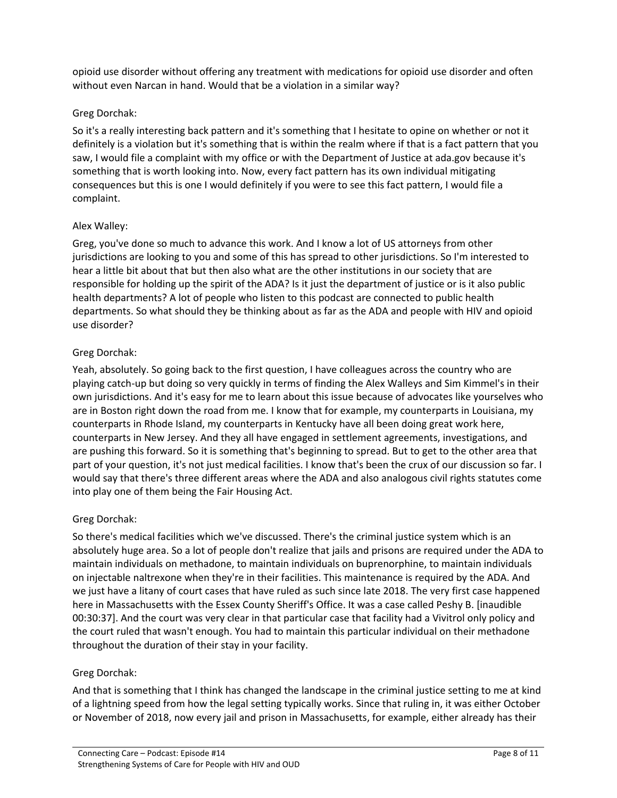opioid use disorder without offering any treatment with medications for opioid use disorder and often without even Narcan in hand. Would that be a violation in a similar way?

### Greg Dorchak:

So it's a really interesting back pattern and it's something that I hesitate to opine on whether or not it definitely is a violation but it's something that is within the realm where if that is a fact pattern that you saw, I would file a complaint with my office or with the Department of Justice at ada.gov because it's something that is worth looking into. Now, every fact pattern has its own individual mitigating consequences but this is one I would definitely if you were to see this fact pattern, I would file a complaint.

### Alex Walley:

Greg, you've done so much to advance this work. And I know a lot of US attorneys from other jurisdictions are looking to you and some of this has spread to other jurisdictions. So I'm interested to hear a little bit about that but then also what are the other institutions in our society that are responsible for holding up the spirit of the ADA? Is it just the department of justice or is it also public health departments? A lot of people who listen to this podcast are connected to public health departments. So what should they be thinking about as far as the ADA and people with HIV and opioid use disorder?

### Greg Dorchak:

Yeah, absolutely. So going back to the first question, I have colleagues across the country who are playing catch-up but doing so very quickly in terms of finding the Alex Walleys and Sim Kimmel's in their own jurisdictions. And it's easy for me to learn about this issue because of advocates like yourselves who are in Boston right down the road from me. I know that for example, my counterparts in Louisiana, my counterparts in Rhode Island, my counterparts in Kentucky have all been doing great work here, counterparts in New Jersey. And they all have engaged in settlement agreements, investigations, and are pushing this forward. So it is something that's beginning to spread. But to get to the other area that part of your question, it's not just medical facilities. I know that's been the crux of our discussion so far. I would say that there's three different areas where the ADA and also analogous civil rights statutes come into play one of them being the Fair Housing Act.

### Greg Dorchak:

So there's medical facilities which we've discussed. There's the criminal justice system which is an absolutely huge area. So a lot of people don't realize that jails and prisons are required under the ADA to maintain individuals on methadone, to maintain individuals on buprenorphine, to maintain individuals on injectable naltrexone when they're in their facilities. This maintenance is required by the ADA. And we just have a litany of court cases that have ruled as such since late 2018. The very first case happened here in Massachusetts with the Essex County Sheriff's Office. It was a case called Peshy B. [inaudible 00:30:37]. And the court was very clear in that particular case that facility had a Vivitrol only policy and the court ruled that wasn't enough. You had to maintain this particular individual on their methadone throughout the duration of their stay in your facility.

# Greg Dorchak:

And that is something that I think has changed the landscape in the criminal justice setting to me at kind of a lightning speed from how the legal setting typically works. Since that ruling in, it was either October or November of 2018, now every jail and prison in Massachusetts, for example, either already has their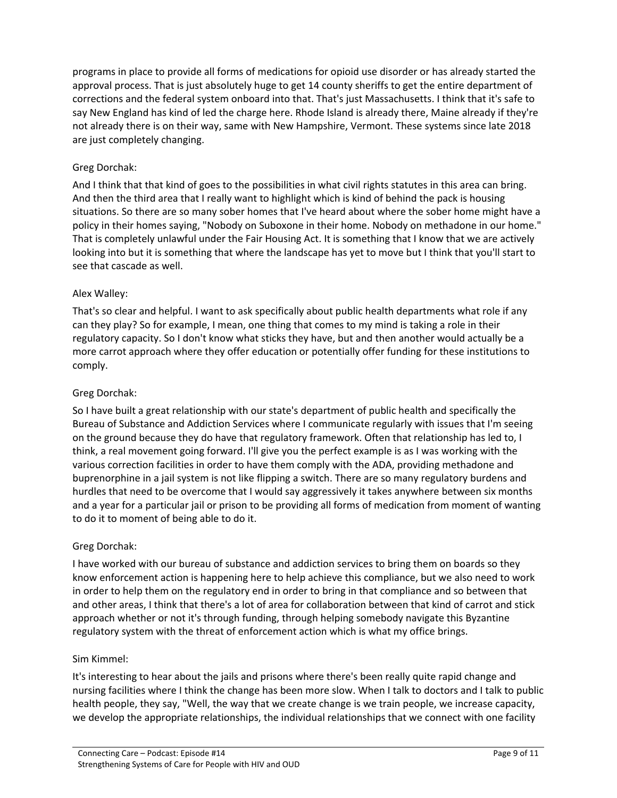programs in place to provide all forms of medications for opioid use disorder or has already started the approval process. That is just absolutely huge to get 14 county sheriffs to get the entire department of corrections and the federal system onboard into that. That's just Massachusetts. I think that it's safe to say New England has kind of led the charge here. Rhode Island is already there, Maine already if they're not already there is on their way, same with New Hampshire, Vermont. These systems since late 2018 are just completely changing.

### Greg Dorchak:

And I think that that kind of goes to the possibilities in what civil rights statutes in this area can bring. And then the third area that I really want to highlight which is kind of behind the pack is housing situations. So there are so many sober homes that I've heard about where the sober home might have a policy in their homes saying, "Nobody on Suboxone in their home. Nobody on methadone in our home." That is completely unlawful under the Fair Housing Act. It is something that I know that we are actively looking into but it is something that where the landscape has yet to move but I think that you'll start to see that cascade as well.

### Alex Walley:

That's so clear and helpful. I want to ask specifically about public health departments what role if any can they play? So for example, I mean, one thing that comes to my mind is taking a role in their regulatory capacity. So I don't know what sticks they have, but and then another would actually be a more carrot approach where they offer education or potentially offer funding for these institutions to comply.

### Greg Dorchak:

So I have built a great relationship with our state's department of public health and specifically the Bureau of Substance and Addiction Services where I communicate regularly with issues that I'm seeing on the ground because they do have that regulatory framework. Often that relationship has led to, I think, a real movement going forward. I'll give you the perfect example is as I was working with the various correction facilities in order to have them comply with the ADA, providing methadone and buprenorphine in a jail system is not like flipping a switch. There are so many regulatory burdens and hurdles that need to be overcome that I would say aggressively it takes anywhere between six months and a year for a particular jail or prison to be providing all forms of medication from moment of wanting to do it to moment of being able to do it.

### Greg Dorchak:

I have worked with our bureau of substance and addiction services to bring them on boards so they know enforcement action is happening here to help achieve this compliance, but we also need to work in order to help them on the regulatory end in order to bring in that compliance and so between that and other areas, I think that there's a lot of area for collaboration between that kind of carrot and stick approach whether or not it's through funding, through helping somebody navigate this Byzantine regulatory system with the threat of enforcement action which is what my office brings.

### Sim Kimmel:

It's interesting to hear about the jails and prisons where there's been really quite rapid change and nursing facilities where I think the change has been more slow. When I talk to doctors and I talk to public health people, they say, "Well, the way that we create change is we train people, we increase capacity, we develop the appropriate relationships, the individual relationships that we connect with one facility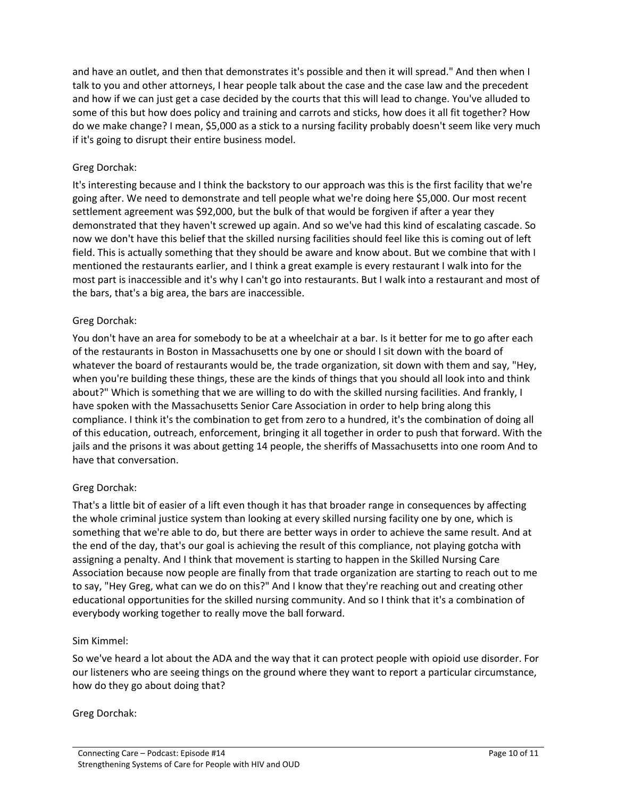and have an outlet, and then that demonstrates it's possible and then it will spread." And then when I talk to you and other attorneys, I hear people talk about the case and the case law and the precedent and how if we can just get a case decided by the courts that this will lead to change. You've alluded to some of this but how does policy and training and carrots and sticks, how does it all fit together? How do we make change? I mean, \$5,000 as a stick to a nursing facility probably doesn't seem like very much if it's going to disrupt their entire business model.

### Greg Dorchak:

It's interesting because and I think the backstory to our approach was this is the first facility that we're going after. We need to demonstrate and tell people what we're doing here \$5,000. Our most recent settlement agreement was \$92,000, but the bulk of that would be forgiven if after a year they demonstrated that they haven't screwed up again. And so we've had this kind of escalating cascade. So now we don't have this belief that the skilled nursing facilities should feel like this is coming out of left field. This is actually something that they should be aware and know about. But we combine that with I mentioned the restaurants earlier, and I think a great example is every restaurant I walk into for the most part is inaccessible and it's why I can't go into restaurants. But I walk into a restaurant and most of the bars, that's a big area, the bars are inaccessible.

### Greg Dorchak:

You don't have an area for somebody to be at a wheelchair at a bar. Is it better for me to go after each of the restaurants in Boston in Massachusetts one by one or should I sit down with the board of whatever the board of restaurants would be, the trade organization, sit down with them and say, "Hey, when you're building these things, these are the kinds of things that you should all look into and think about?" Which is something that we are willing to do with the skilled nursing facilities. And frankly, I have spoken with the Massachusetts Senior Care Association in order to help bring along this compliance. I think it's the combination to get from zero to a hundred, it's the combination of doing all of this education, outreach, enforcement, bringing it all together in order to push that forward. With the jails and the prisons it was about getting 14 people, the sheriffs of Massachusetts into one room And to have that conversation.

### Greg Dorchak:

That's a little bit of easier of a lift even though it has that broader range in consequences by affecting the whole criminal justice system than looking at every skilled nursing facility one by one, which is something that we're able to do, but there are better ways in order to achieve the same result. And at the end of the day, that's our goal is achieving the result of this compliance, not playing gotcha with assigning a penalty. And I think that movement is starting to happen in the Skilled Nursing Care Association because now people are finally from that trade organization are starting to reach out to me to say, "Hey Greg, what can we do on this?" And I know that they're reaching out and creating other educational opportunities for the skilled nursing community. And so I think that it's a combination of everybody working together to really move the ball forward.

### Sim Kimmel:

So we've heard a lot about the ADA and the way that it can protect people with opioid use disorder. For our listeners who are seeing things on the ground where they want to report a particular circumstance, how do they go about doing that?

### Greg Dorchak: